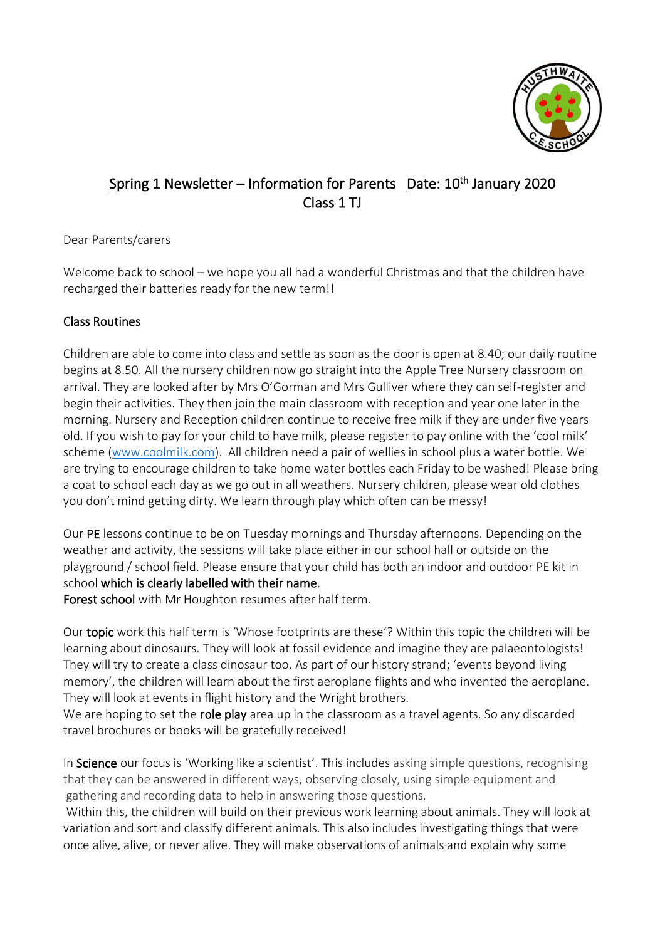

# Spring 1 Newsletter – Information for Parents \_Date: 10<sup>th</sup> January 2020 Class 1 TJ

Dear Parents/carers

Welcome back to school – we hope you all had a wonderful Christmas and that the children have recharged their batteries ready for the new term!!

# Class Routines

Children are able to come into class and settle as soon as the door is open at 8.40; our daily routine begins at 8.50. All the nursery children now go straight into the Apple Tree Nursery classroom on arrival. They are looked after by Mrs O'Gorman and Mrs Gulliver where they can self-register and begin their activities. They then join the main classroom with reception and year one later in the morning. Nursery and Reception children continue to receive free milk if they are under five years old. If you wish to pay for your child to have milk, please register to pay online with the 'cool milk' scheme [\(www.coolmilk.com\)](http://www.coolmilk.com/). All children need a pair of wellies in school plus a water bottle. We are trying to encourage children to take home water bottles each Friday to be washed! Please bring a coat to school each day as we go out in all weathers. Nursery children, please wear old clothes you don't mind getting dirty. We learn through play which often can be messy!

Our PE lessons continue to be on Tuesday mornings and Thursday afternoons. Depending on the weather and activity, the sessions will take place either in our school hall or outside on the playground / school field. Please ensure that your child has both an indoor and outdoor PE kit in school which is clearly labelled with their name.

Forest school with Mr Houghton resumes after half term.

Our topic work this half term is 'Whose footprints are these'? Within this topic the children will be learning about dinosaurs. They will look at fossil evidence and imagine they are palaeontologists! They will try to create a class dinosaur too. As part of our history strand; 'events beyond living memory', the children will learn about the first aeroplane flights and who invented the aeroplane. They will look at events in flight history and the Wright brothers.

We are hoping to set the role play area up in the classroom as a travel agents. So any discarded travel brochures or books will be gratefully received!

In Science our focus is 'Working like a scientist'. This includes asking simple questions, recognising that they can be answered in different ways, observing closely, using simple equipment and gathering and recording data to help in answering those questions.

Within this, the children will build on their previous work learning about animals. They will look at variation and sort and classify different animals. This also includes investigating things that were once alive, alive, or never alive. They will make observations of animals and explain why some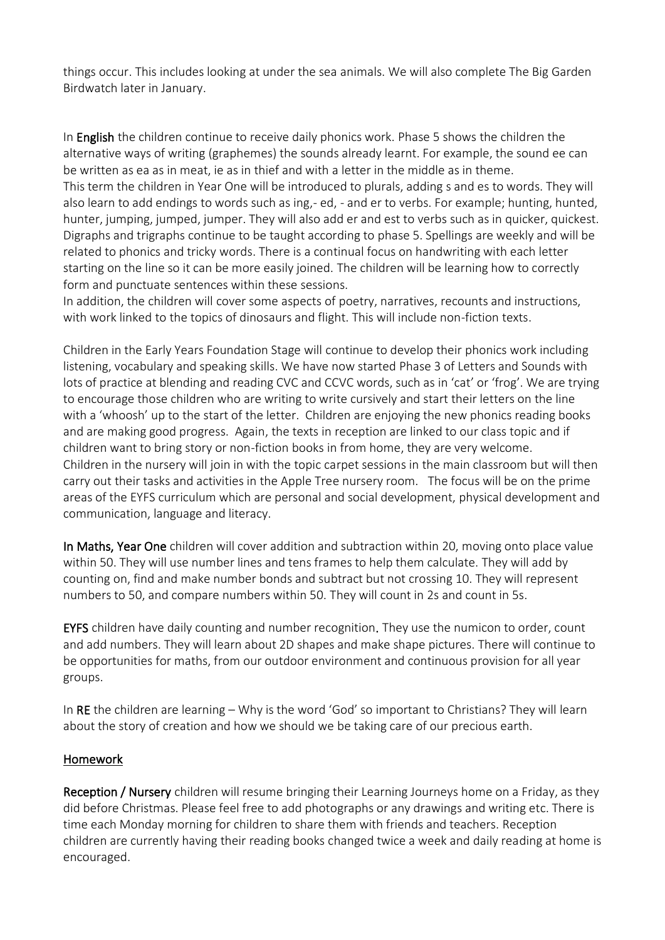things occur. This includes looking at under the sea animals. We will also complete The Big Garden Birdwatch later in January.

In **English** the children continue to receive daily phonics work. Phase 5 shows the children the alternative ways of writing (graphemes) the sounds already learnt. For example, the sound ee can be written as ea as in meat, ie as in thief and with a letter in the middle as in theme. This term the children in Year One will be introduced to plurals, adding s and es to words. They will also learn to add endings to words such as ing,- ed, - and er to verbs. For example; hunting, hunted, hunter, jumping, jumped, jumper. They will also add er and est to verbs such as in quicker, quickest. Digraphs and trigraphs continue to be taught according to phase 5. Spellings are weekly and will be related to phonics and tricky words. There is a continual focus on handwriting with each letter starting on the line so it can be more easily joined. The children will be learning how to correctly form and punctuate sentences within these sessions.

In addition, the children will cover some aspects of poetry, narratives, recounts and instructions, with work linked to the topics of dinosaurs and flight. This will include non-fiction texts.

Children in the Early Years Foundation Stage will continue to develop their phonics work including listening, vocabulary and speaking skills. We have now started Phase 3 of Letters and Sounds with lots of practice at blending and reading CVC and CCVC words, such as in 'cat' or 'frog'. We are trying to encourage those children who are writing to write cursively and start their letters on the line with a 'whoosh' up to the start of the letter. Children are enjoying the new phonics reading books and are making good progress. Again, the texts in reception are linked to our class topic and if children want to bring story or non-fiction books in from home, they are very welcome. Children in the nursery will join in with the topic carpet sessions in the main classroom but will then carry out their tasks and activities in the Apple Tree nursery room. The focus will be on the prime areas of the EYFS curriculum which are personal and social development, physical development and communication, language and literacy.

In Maths, Year One children will cover addition and subtraction within 20, moving onto place value within 50. They will use number lines and tens frames to help them calculate. They will add by counting on, find and make number bonds and subtract but not crossing 10. They will represent numbers to 50, and compare numbers within 50. They will count in 2s and count in 5s.

EYFS children have daily counting and number recognition. They use the numicon to order, count and add numbers. They will learn about 2D shapes and make shape pictures. There will continue to be opportunities for maths, from our outdoor environment and continuous provision for all year groups.

In RE the children are learning – Why is the word 'God' so important to Christians? They will learn about the story of creation and how we should we be taking care of our precious earth.

#### Homework

Reception / Nursery children will resume bringing their Learning Journeys home on a Friday, as they did before Christmas. Please feel free to add photographs or any drawings and writing etc. There is time each Monday morning for children to share them with friends and teachers. Reception children are currently having their reading books changed twice a week and daily reading at home is encouraged.